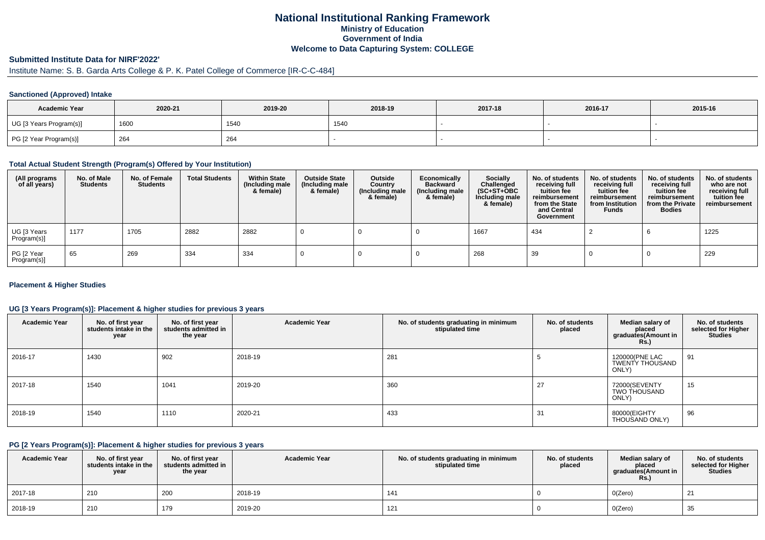# **National Institutional Ranking FrameworkMinistry of Education Government of IndiaWelcome to Data Capturing System: COLLEGE**

# **Submitted Institute Data for NIRF'2022'**

# Institute Name: S. B. Garda Arts College & P. K. Patel College of Commerce [IR-C-C-484]

### **Sanctioned (Approved) Intake**

| <b>Academic Year</b>    | 2020-21 | 2019-20 | 2018-19 | 2017-18 | 2016-17 | 2015-16 |
|-------------------------|---------|---------|---------|---------|---------|---------|
| UG [3 Years Program(s)] | 1600    | 1540    | 1540    |         |         |         |
| PG [2 Year Program(s)]  | 264     | 264     |         |         |         |         |

#### **Total Actual Student Strength (Program(s) Offered by Your Institution)**

| (All programs<br>of all years) | No. of Male<br><b>Students</b> | No. of Female<br><b>Students</b> | <b>Total Students</b> | <b>Within State</b><br>(Including male<br>& female) | <b>Outside State</b><br>(Including male<br>& female) | Outside<br>Country<br>(Including male<br>& female) | Economically<br><b>Backward</b><br>(Including male<br>& female) | Socially<br>Challenged<br>$(SC+ST+OBC)$<br>Including male<br>& female) | No. of students<br>receiving full<br>tuition fee<br>reimbursement<br>from the State<br>and Central<br>Government | No. of students<br>receiving full<br>tuition fee<br>reimbursement<br>from Institution<br><b>Funds</b> | No. of students<br>receiving full<br>tuition fee<br>reimbursement<br>from the Private<br><b>Bodies</b> | No. of students<br>who are not<br>receiving full<br>tuition fee<br>reimbursement |
|--------------------------------|--------------------------------|----------------------------------|-----------------------|-----------------------------------------------------|------------------------------------------------------|----------------------------------------------------|-----------------------------------------------------------------|------------------------------------------------------------------------|------------------------------------------------------------------------------------------------------------------|-------------------------------------------------------------------------------------------------------|--------------------------------------------------------------------------------------------------------|----------------------------------------------------------------------------------|
| UG [3 Years<br>Program(s)]     | 1177                           | 1705                             | 2882                  | 2882                                                |                                                      |                                                    |                                                                 | 1667                                                                   | 434                                                                                                              |                                                                                                       |                                                                                                        | 1225                                                                             |
| PG [2 Year<br>Program(s)]      | 65                             | 269                              | 334                   | 334                                                 |                                                      |                                                    |                                                                 | 268                                                                    | 39                                                                                                               |                                                                                                       |                                                                                                        | 229                                                                              |

### **Placement & Higher Studies**

### **UG [3 Years Program(s)]: Placement & higher studies for previous 3 years**

| <b>Academic Year</b> | No. of first year<br>students intake in the<br>year | No. of first year<br>students admitted in<br>the year | <b>Academic Year</b> | No. of students graduating in minimum<br>stipulated time | No. of students<br>placed | Median salary of<br>placed<br>graduates(Amount in<br>Rs.) | No. of students<br>selected for Higher<br><b>Studies</b> |
|----------------------|-----------------------------------------------------|-------------------------------------------------------|----------------------|----------------------------------------------------------|---------------------------|-----------------------------------------------------------|----------------------------------------------------------|
| 2016-17              | 1430                                                | 902                                                   | 2018-19              | 281                                                      |                           | 120000(PNE LAC<br>TWENTY THOUSAND<br>ONLY)                | 91                                                       |
| 2017-18              | 1540                                                | 1041                                                  | 2019-20              | 360                                                      | 27                        | 72000(SEVENTY<br><b>TWO THOUSAND</b><br>ONLY)             | 15                                                       |
| 2018-19              | 1540                                                | 1110                                                  | 2020-21              | 433                                                      | 31                        | 80000(EIGHTY<br>THOUSAND ONLY)                            | 96                                                       |

#### **PG [2 Years Program(s)]: Placement & higher studies for previous 3 years**

| <b>Academic Year</b> | No. of first year<br>students intake in the<br>year | No. of first year<br>students admitted in<br>the year | <b>Academic Year</b> | No. of students graduating in minimum<br>stipulated time | No. of students<br>placed | Median salary of<br>placed<br>araduates(Amount in<br><b>Rs.)</b> | No. of students<br>selected for Higher<br><b>Studies</b> |
|----------------------|-----------------------------------------------------|-------------------------------------------------------|----------------------|----------------------------------------------------------|---------------------------|------------------------------------------------------------------|----------------------------------------------------------|
| 2017-18              | 210                                                 | 200                                                   | 2018-19              | 141                                                      |                           | O(Zero)                                                          | 21                                                       |
| 2018-19              | 210                                                 | 179                                                   | 2019-20              | 121                                                      |                           | O(Zero)                                                          | 35                                                       |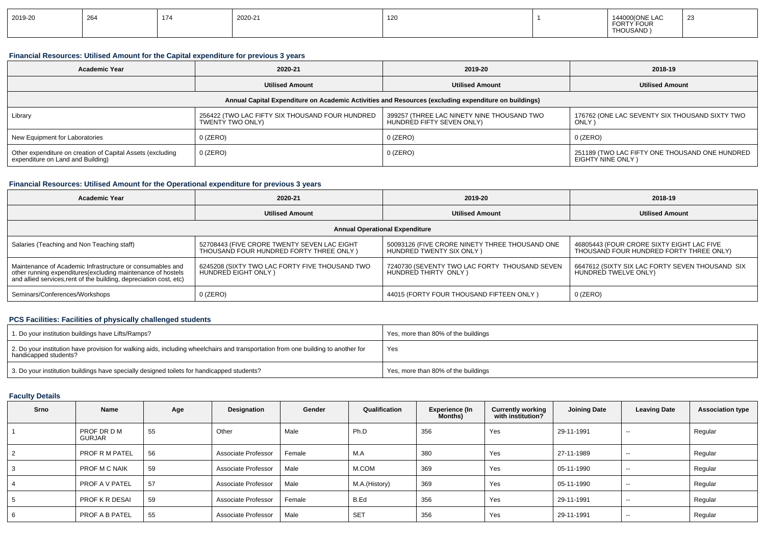| 2019-20 | 264 | 47 <sup>2</sup><br>174 | 2020-21 | 120 |  | $\sim$<br>144000(ONE<br><b>FORTY</b><br><b>FOUR</b><br><b>THOUSAND</b> | $\sim$<br>້ |
|---------|-----|------------------------|---------|-----|--|------------------------------------------------------------------------|-------------|
|---------|-----|------------------------|---------|-----|--|------------------------------------------------------------------------|-------------|

## **Financial Resources: Utilised Amount for the Capital expenditure for previous 3 years**

| <b>Academic Year</b>                                                                                 | 2020-21                                                             | 2019-20                                                                 | 2018-19                                                             |  |  |  |  |  |
|------------------------------------------------------------------------------------------------------|---------------------------------------------------------------------|-------------------------------------------------------------------------|---------------------------------------------------------------------|--|--|--|--|--|
|                                                                                                      | <b>Utilised Amount</b>                                              |                                                                         | <b>Utilised Amount</b>                                              |  |  |  |  |  |
| Annual Capital Expenditure on Academic Activities and Resources (excluding expenditure on buildings) |                                                                     |                                                                         |                                                                     |  |  |  |  |  |
| Library                                                                                              | 256422 (TWO LAC FIFTY SIX THOUSAND FOUR HUNDRED<br>TWENTY TWO ONLY) | 399257 (THREE LAC NINETY NINE THOUSAND TWO<br>HUNDRED FIFTY SEVEN ONLY) | 176762 (ONE LAC SEVENTY SIX THOUSAND SIXTY TWO<br><b>ONLY</b>       |  |  |  |  |  |
| New Equipment for Laboratories                                                                       | $0$ (ZERO)                                                          | $0$ (ZERO)                                                              | $0$ (ZERO)                                                          |  |  |  |  |  |
| Other expenditure on creation of Capital Assets (excluding<br>expenditure on Land and Building)      | 0 (ZERO)                                                            | $0$ (ZERO)                                                              | 251189 (TWO LAC FIFTY ONE THOUSAND ONE HUNDRED<br>EIGHTY NINE ONLY) |  |  |  |  |  |

### **Financial Resources: Utilised Amount for the Operational expenditure for previous 3 years**

| Academic Year                                                                                                                                                                                   | 2020-21                                                                                |                                                                            | 2018-19                                                                              |  |  |  |  |  |
|-------------------------------------------------------------------------------------------------------------------------------------------------------------------------------------------------|----------------------------------------------------------------------------------------|----------------------------------------------------------------------------|--------------------------------------------------------------------------------------|--|--|--|--|--|
|                                                                                                                                                                                                 | <b>Utilised Amount</b>                                                                 | <b>Utilised Amount</b>                                                     | <b>Utilised Amount</b>                                                               |  |  |  |  |  |
| <b>Annual Operational Expenditure</b>                                                                                                                                                           |                                                                                        |                                                                            |                                                                                      |  |  |  |  |  |
| Salaries (Teaching and Non Teaching staff)                                                                                                                                                      | 52708443 (FIVE CRORE TWENTY SEVEN LAC EIGHT<br>THOUSAND FOUR HUNDRED FORTY THREE ONLY) | 50093126 (FIVE CRORE NINETY THREE THOUSAND ONE<br>HUNDRED TWENTY SIX ONLY) | 46805443 (FOUR CRORE SIXTY EIGHT LAC FIVE<br>THOUSAND FOUR HUNDRED FORTY THREE ONLY) |  |  |  |  |  |
| Maintenance of Academic Infrastructure or consumables and<br>other running expenditures (excluding maintenance of hostels<br>and allied services, rent of the building, depreciation cost, etc) | 6245208 (SIXTY TWO LAC FORTY FIVE THOUSAND TWO<br>HUNDRED EIGHT ONLY)                  | 7240730 (SEVENTY TWO LAC FORTY THOUSAND SEVEN<br>HUNDRED THIRTY ONLY)      | 6647612 (SIXTY SIX LAC FORTY SEVEN THOUSAND SIX<br>HUNDRED TWELVE ONLY)              |  |  |  |  |  |
| Seminars/Conferences/Workshops                                                                                                                                                                  | $0$ (ZERO)                                                                             | 44015 (FORTY FOUR THOUSAND FIFTEEN ONLY)                                   | $0$ (ZERO)                                                                           |  |  |  |  |  |

## **PCS Facilities: Facilities of physically challenged students**

| 1. Do your institution buildings have Lifts/Ramps?                                                                                                         | Yes, more than 80% of the buildings |
|------------------------------------------------------------------------------------------------------------------------------------------------------------|-------------------------------------|
| 2. Do your institution have provision for walking aids, including wheelchairs and transportation from one building to another for<br>handicapped students? | Yes                                 |
| 3. Do your institution buildings have specially designed toilets for handicapped students?                                                                 | Yes, more than 80% of the buildings |

# **Faculty Details**

| Srno           | Name                         | Age | Designation         | Gender | Qualification | <b>Experience (In</b><br><b>Months</b> ) | <b>Currently working</b><br>with institution? | Joining Date | <b>Leaving Date</b> | <b>Association type</b> |
|----------------|------------------------------|-----|---------------------|--------|---------------|------------------------------------------|-----------------------------------------------|--------------|---------------------|-------------------------|
|                | PROF DR D M<br><b>GURJAR</b> | 55  | Other               | Male   | Ph.D          | 356                                      | Yes                                           | 29-11-1991   | $-$                 | Regular                 |
| $\overline{2}$ | <b>PROF R M PATEL</b>        | 56  | Associate Professor | Female | M.A           | 380                                      | Yes                                           | 27-11-1989   | $-$                 | Regular                 |
| 3              | PROF M C NAIK                | 59  | Associate Professor | Male   | M.COM         | 369                                      | Yes                                           | 05-11-1990   | $\sim$              | Regular                 |
| 4              | <b>PROF A V PATEL</b>        | 57  | Associate Professor | Male   | M.A.(History) | 369                                      | Yes                                           | 05-11-1990   | $-$                 | Regular                 |
| 5              | <b>PROF K R DESAI</b>        | 59  | Associate Professor | Female | B.Ed          | 356                                      | Yes                                           | 29-11-1991   | $-$                 | Regular                 |
| 6              | <b>PROF A B PATEL</b>        | 55  | Associate Professor | Male   | <b>SET</b>    | 356                                      | Yes                                           | 29-11-1991   | $-$                 | Regular                 |